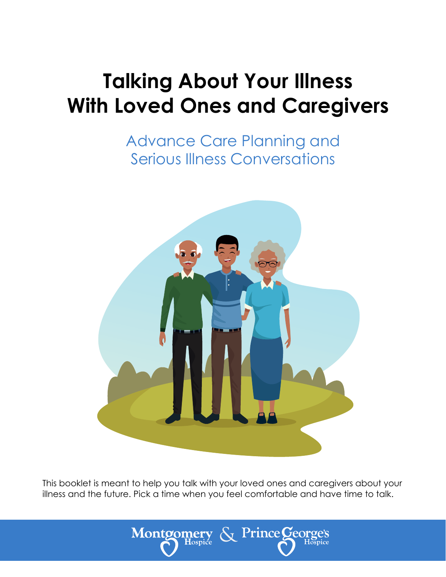# **Talking About Your Illness With Loved Ones and Caregivers**

Advance Care Planning and Serious Illness Conversations



This booklet is meant to help you talk with your loved ones and caregivers about your illness and the future. Pick a time when you feel comfortable and have time to talk.

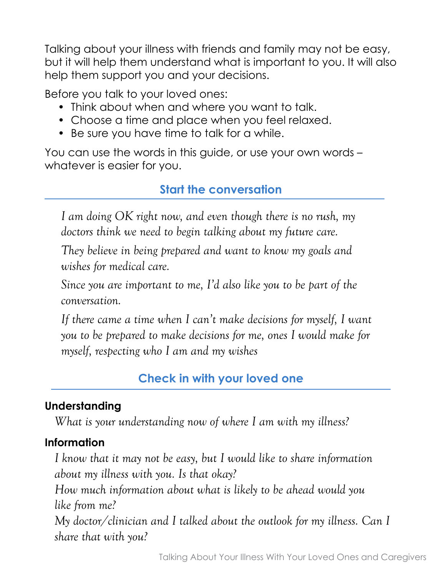Talking about your illness with friends and family may not be easy, but it will help them understand what is important to you. It will also help them support you and your decisions.

Before you talk to your loved ones:

- Think about when and where you want to talk.
- Choose a time and place when you feel relaxed.
- Be sure you have time to talk for a while.

You can use the words in this guide, or use your own words – whatever is easier for you.

## **Start the conversation**

*I am doing OK right now, and even though there is no rush, my doctors think we need to begin talking about my future care.*

*They believe in being prepared and want to know my goals and wishes for medical care.*

*Since you are important to me, I'd also like you to be part of the conversation.*

*If there came a time when I can't make decisions for myself, I want you to be prepared to make decisions for me, ones I would make for myself, respecting who I am and my wishes*

## **Check in with your loved one**

## **Understanding**

*What is your understanding now of where I am with my illness?*

## **Information**

*I know that it may not be easy, but I would like to share information about my illness with you. Is that okay?*

*How much information about what is likely to be ahead would you like from me?* 

*My doctor/clinician and I talked about the outlook for my illness. Can I share that with you?*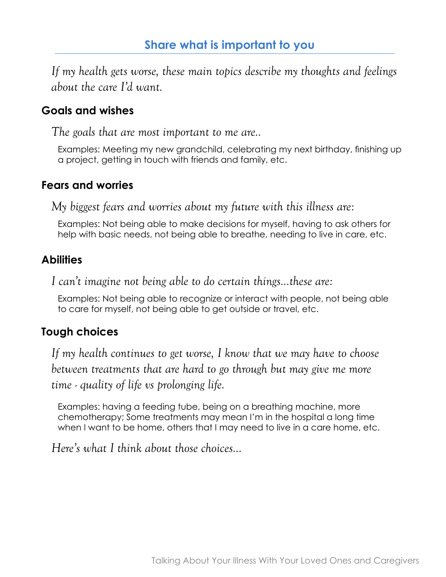*If my health gets worse, these main topics describe my thoughts and feelings about the care I'd want.*

#### **Goals and wishes**

*The goals that are most important to me are..*

Examples: Meeting my new grandchild, celebrating my next birthday, finishing up a project, getting in touch with friends and family, etc.

#### **Fears and worries**

*My biggest fears and worries about my future with this illness are:*

Examples: Not being able to make decisions for myself, having to ask others for help with basic needs, not being able to breathe, needing to live in care, etc.

#### **Abilities**

*I can't imagine not being able to do certain things…these are:*

Examples: Not being able to recognize or interact with people, not being able to care for myself, not being able to get outside or travel, etc.

### **Tough choices**

*If my health continues to get worse, I know that we may have to choose between treatments that are hard to go through but may give me more time - quality of life vs prolonging life.*

Examples: having a feeding tube, being on a breathing machine, more chemotherapy; Some treatments may mean I'm in the hospital a long time when I want to be home, others that I may need to live in a care home, etc.

*Here's what I think about those choices…*